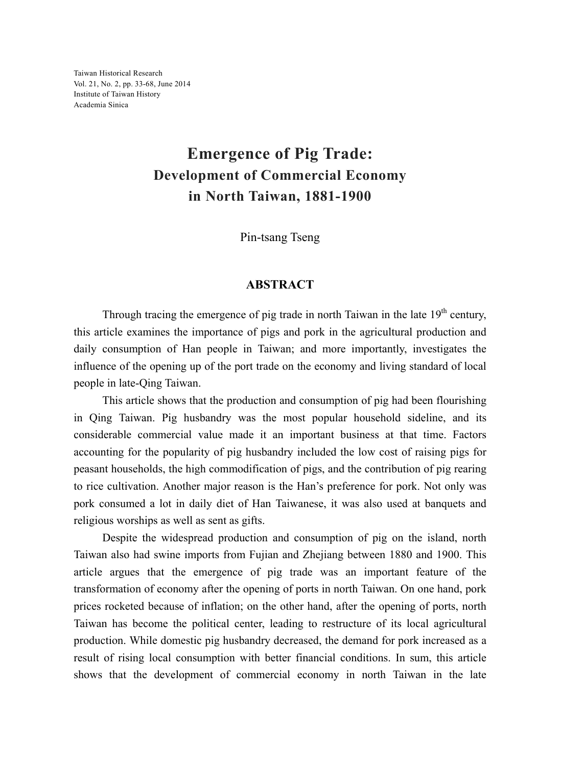Taiwan Historical Research Vol. 21, No. 2, pp. 33-68, June 2014 Institute of Taiwan History Academia Sinica

## **Emergence of Pig Trade: Development of Commercial Economy in North Taiwan, 1881-1900**

Pin-tsang Tseng

## **ABSTRACT**

Through tracing the emergence of pig trade in north Taiwan in the late  $19<sup>th</sup>$  century, this article examines the importance of pigs and pork in the agricultural production and daily consumption of Han people in Taiwan; and more importantly, investigates the influence of the opening up of the port trade on the economy and living standard of local people in late-Qing Taiwan.

 This article shows that the production and consumption of pig had been flourishing in Qing Taiwan. Pig husbandry was the most popular household sideline, and its considerable commercial value made it an important business at that time. Factors accounting for the popularity of pig husbandry included the low cost of raising pigs for peasant households, the high commodification of pigs, and the contribution of pig rearing to rice cultivation. Another major reason is the Han's preference for pork. Not only was pork consumed a lot in daily diet of Han Taiwanese, it was also used at banquets and religious worships as well as sent as gifts.

 Despite the widespread production and consumption of pig on the island, north Taiwan also had swine imports from Fujian and Zhejiang between 1880 and 1900. This article argues that the emergence of pig trade was an important feature of the transformation of economy after the opening of ports in north Taiwan. On one hand, pork prices rocketed because of inflation; on the other hand, after the opening of ports, north Taiwan has become the political center, leading to restructure of its local agricultural production. While domestic pig husbandry decreased, the demand for pork increased as a result of rising local consumption with better financial conditions. In sum, this article shows that the development of commercial economy in north Taiwan in the late